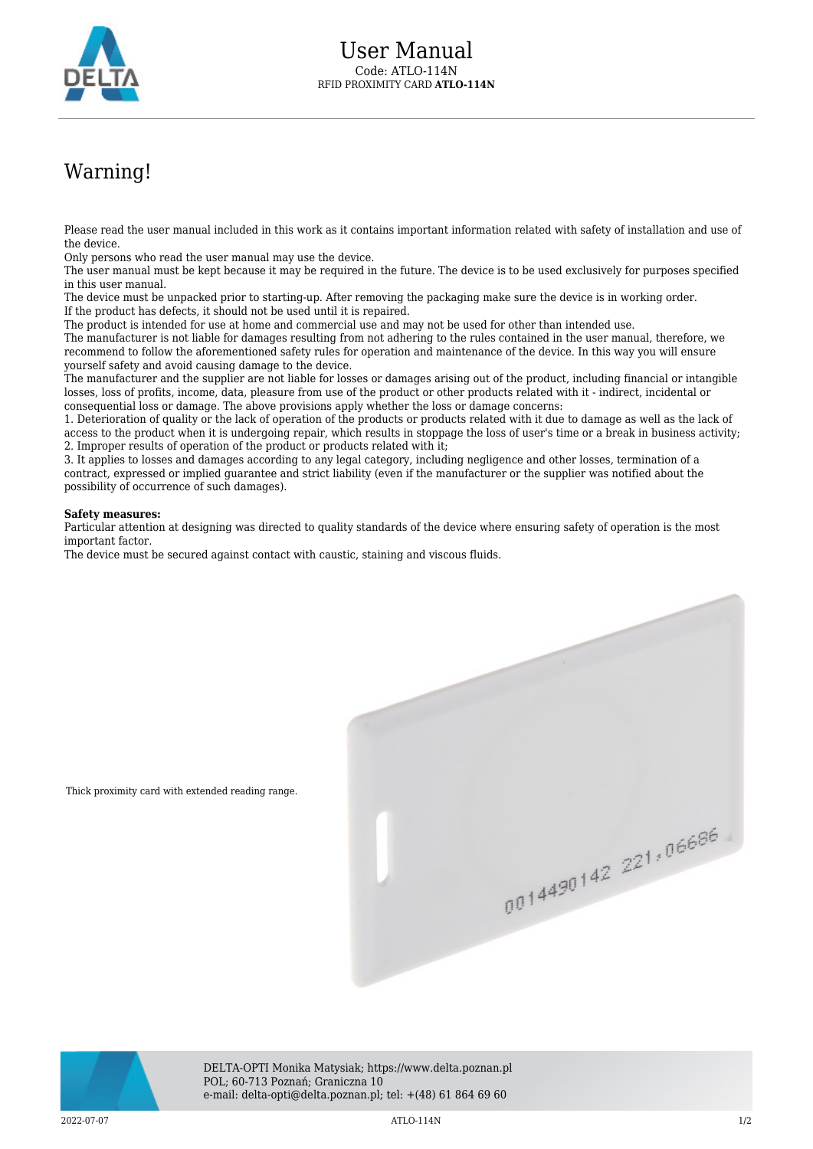

## Warning!

Please read the user manual included in this work as it contains important information related with safety of installation and use of the device.

Only persons who read the user manual may use the device.

The user manual must be kept because it may be required in the future. The device is to be used exclusively for purposes specified in this user manual.

The device must be unpacked prior to starting-up. After removing the packaging make sure the device is in working order. If the product has defects, it should not be used until it is repaired.

The product is intended for use at home and commercial use and may not be used for other than intended use.

The manufacturer is not liable for damages resulting from not adhering to the rules contained in the user manual, therefore, we recommend to follow the aforementioned safety rules for operation and maintenance of the device. In this way you will ensure yourself safety and avoid causing damage to the device.

The manufacturer and the supplier are not liable for losses or damages arising out of the product, including financial or intangible losses, loss of profits, income, data, pleasure from use of the product or other products related with it - indirect, incidental or consequential loss or damage. The above provisions apply whether the loss or damage concerns:

1. Deterioration of quality or the lack of operation of the products or products related with it due to damage as well as the lack of access to the product when it is undergoing repair, which results in stoppage the loss of user's time or a break in business activity; 2. Improper results of operation of the product or products related with it;

3. It applies to losses and damages according to any legal category, including negligence and other losses, termination of a contract, expressed or implied guarantee and strict liability (even if the manufacturer or the supplier was notified about the possibility of occurrence of such damages).

## **Safety measures:**

Thick proximity card with extended reading range.

Particular attention at designing was directed to quality standards of the device where ensuring safety of operation is the most important factor.

The device must be secured against contact with caustic, staining and viscous fluids.

0014490142 221,06686



DELTA-OPTI Monika Matysiak; https://www.delta.poznan.pl POL; 60-713 Poznań; Graniczna 10 e-mail: delta-opti@delta.poznan.pl; tel: +(48) 61 864 69 60

2022-07-07 ATLO-114N 1/2